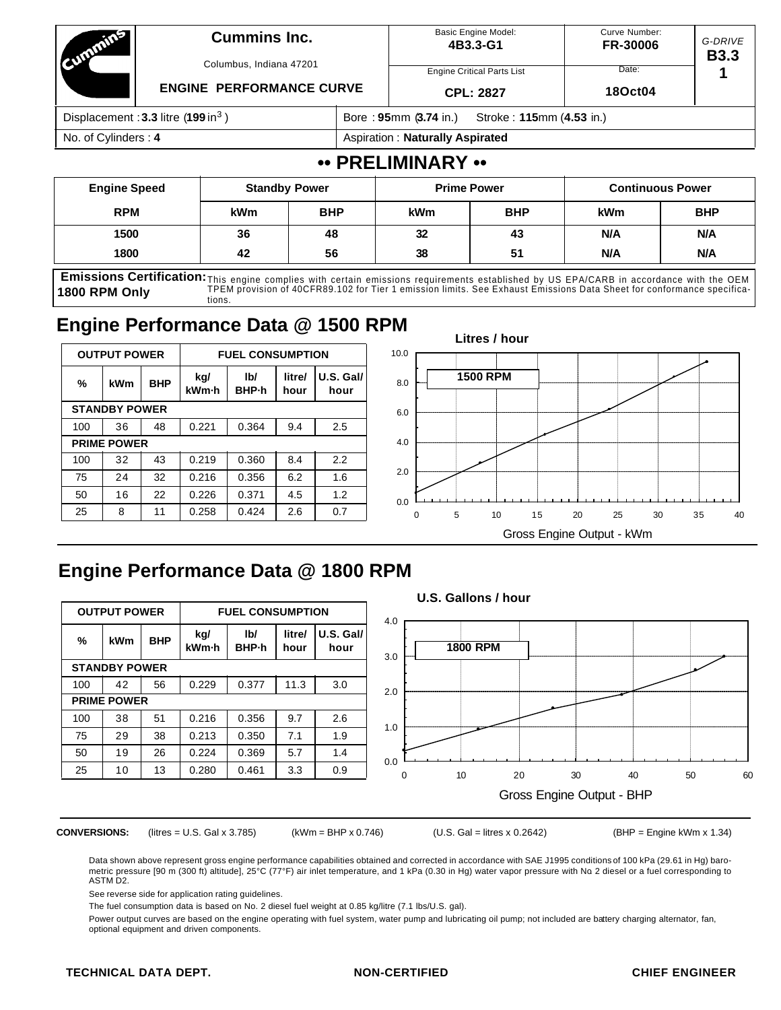| <b>COUNTRY STATES</b>                            | <b>Cummins Inc.</b><br>Columbus, Indiana 47201<br><b>ENGINE PERFORMANCE CURVE</b> |                                        | <b>Basic Engine Model:</b><br>4B3.3-G1<br><b>Engine Critical Parts List</b><br><b>CPL: 2827</b> | Curve Number:<br><b>FR-30006</b><br>Date:<br>180ct04 | G-DRIVE<br><b>B3.3</b> |  |  |
|--------------------------------------------------|-----------------------------------------------------------------------------------|----------------------------------------|-------------------------------------------------------------------------------------------------|------------------------------------------------------|------------------------|--|--|
| Displacement: $3.3$ litre (199 in <sup>3</sup> ) |                                                                                   |                                        | Bore: 95mm (3.74 in.)<br>Stroke: 115mm (4.53 in.)                                               |                                                      |                        |  |  |
| No. of Cylinders: 4                              |                                                                                   | <b>Aspiration: Naturally Aspirated</b> |                                                                                                 |                                                      |                        |  |  |

### **•• PRELIMINARY ••**

| <b>Engine Speed</b> | <b>Standby Power</b>     |    | <b>Prime Power</b> |            | <b>Continuous Power</b> |            |  |
|---------------------|--------------------------|----|--------------------|------------|-------------------------|------------|--|
| <b>RPM</b>          | <b>BHP</b><br><b>kWm</b> |    | <b>kWm</b>         | <b>BHP</b> | <b>kWm</b>              | <b>BHP</b> |  |
| 1500                | 36                       | 48 | 32                 | 43         | <b>N/A</b>              | N/A        |  |
| 1800                | 56<br>42                 |    | 38<br>51           |            | N/A                     | N/A        |  |

Emissions Certification: This engine complies with certain emissions requirements established by US EPA/CARB in accordance with the OEM **1800 RPM Only** TPEM provision of 40CFR89.102 for Tier 1 emission limits. See Exhaust Emissions Data Sheet for conformance specifications.

# **Engine Performance Data @ 1500 RPM**

|     | <b>OUTPUT POWER</b>  |            |              | <b>FUEL CONSUMPTION</b> |                |                     |  |  |  |
|-----|----------------------|------------|--------------|-------------------------|----------------|---------------------|--|--|--|
| %   | kWm                  | <b>BHP</b> | kg/<br>kWm-h | lb/<br>BHP-h            | litre/<br>hour | $U.S.$ Gal/<br>hour |  |  |  |
|     | <b>STANDBY POWER</b> |            |              |                         |                |                     |  |  |  |
| 100 | 36                   | 48         | 0.221        | 0.364                   | 9.4            | 2.5                 |  |  |  |
|     | <b>PRIME POWER</b>   |            |              |                         |                |                     |  |  |  |
| 100 | 32                   | 43         | 0.219        | 0.360                   | 8.4            | 2.2                 |  |  |  |
| 75  | 24                   | 32         | 0.216        | 0.356                   | 6.2            | 1.6                 |  |  |  |
| 50  | 16                   | 22         | 0.226        | 0.371                   | 4.5            | 1.2                 |  |  |  |
| 25  | 8                    | 11         | 0.258        | 0.424                   | 2.6            | 0.7                 |  |  |  |



# **Engine Performance Data @ 1800 RPM**

|                     |                      |            |                         |              |                |                     |                           |  | U.S. Gallons / hour |    |    |    |    |    |
|---------------------|----------------------|------------|-------------------------|--------------|----------------|---------------------|---------------------------|--|---------------------|----|----|----|----|----|
| <b>OUTPUT POWER</b> |                      |            | <b>FUEL CONSUMPTION</b> |              |                | 4.0                 |                           |  |                     |    |    |    |    |    |
| %                   | kWm                  | <b>BHP</b> | kg/<br>kWm-h            | IbI<br>BHP-h | litre/<br>hour | $U.S.$ Gal/<br>hour | 3.0                       |  | <b>1800 RPM</b>     |    |    |    |    |    |
|                     | <b>STANDBY POWER</b> |            |                         |              |                |                     |                           |  |                     |    |    |    |    |    |
| 100                 | 42                   | 56         | 0.229                   | 0.377        | 11.3           | 3.0                 | 2.0                       |  |                     |    |    |    |    |    |
|                     | <b>PRIME POWER</b>   |            |                         |              |                |                     |                           |  |                     |    |    |    |    |    |
| 100                 | 38                   | 51         | 0.216                   | 0.356        | 9.7            | 2.6                 | 1.0                       |  |                     |    |    |    |    |    |
| 75                  | 29                   | 38         | 0.213                   | 0.350        | 7.1            | 1.9                 |                           |  |                     |    |    |    |    |    |
| 50                  | 19                   | 26         | 0.224                   | 0.369        | 5.7            | 1.4                 | 0.0                       |  |                     |    |    |    |    |    |
| 25                  | 10                   | 13         | 0.280                   | 0.461        | 3.3            | 0.9                 | 0                         |  | 10                  | 20 | 30 | 40 | 50 | 60 |
|                     |                      |            |                         |              |                |                     | Gross Engine Output - BHP |  |                     |    |    |    |    |    |

**CONVERSIONS:** (litres = U.S. Gal x 3.785) (kWm = BHP x 0.746) (U.S. Gal = litres x 0.2642) (BHP = Engine kWm x 1.34)

Data shown above represent gross engine performance capabilities obtained and corrected in accordance with SAE J1995 conditions of 100 kPa (29.61 in Hg) barometric pressure [90 m (300 ft) altitude], 25°C (77°F) air inlet temperature, and 1 kPa (0.30 in Hg) water vapor pressure with No. 2 diesel or a fuel corresponding to ASTM D2.

See reverse side for application rating guidelines.

The fuel consumption data is based on No. 2 diesel fuel weight at 0.85 kg/litre (7.1 lbs/U.S. gal).

Power output curves are based on the engine operating with fuel system, water pump and lubricating oil pump; not included are battery charging alternator, fan, optional equipment and driven components.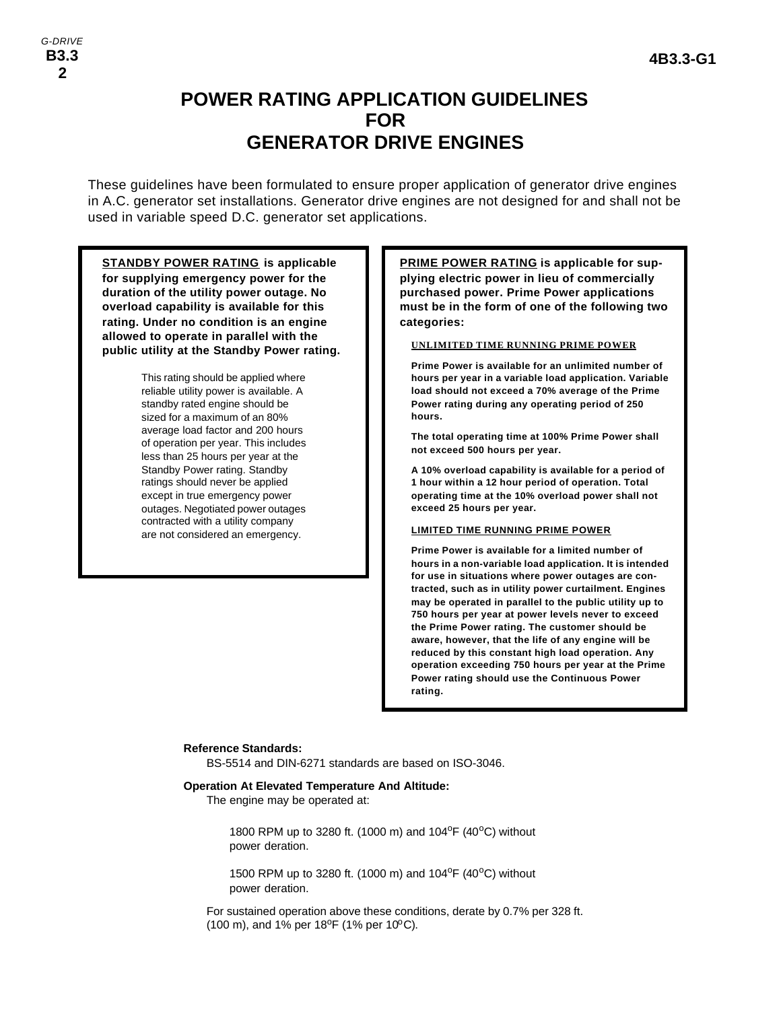## **POWER RATING APPLICATION GUIDELINES FOR GENERATOR DRIVE ENGINES**

These guidelines have been formulated to ensure proper application of generator drive engines in A.C. generator set installations. Generator drive engines are not designed for and shall not be used in variable speed D.C. generator set applications.

**STANDBY POWER RATING is applicable for supplying emergency power for the duration of the utility power outage. No overload capability is available for this rating. Under no condition is an engine allowed to operate in parallel with the public utility at the Standby Power rating.**

> This rating should be applied where reliable utility power is available. A standby rated engine should be sized for a maximum of an 80% average load factor and 200 hours of operation per year. This includes less than 25 hours per year at the Standby Power rating. Standby ratings should never be applied except in true emergency power outages. Negotiated power outages contracted with a utility company are not considered an emergency.

**PRIME POWER RATING is applicable for supplying electric power in lieu of commercially purchased power. Prime Power applications must be in the form of one of the following two categories:**

#### **UNLIMITED TIME RUNNING PRIME POWER**

**Prime Power is available for an unlimited number of hours per year in a variable load application. Variable load should not exceed a 70% average of the Prime Power rating during any operating period of 250 hours.**

**The total operating time at 100% Prime Power shall not exceed 500 hours per year.**

**A 10% overload capability is available for a period of 1 hour within a 12 hour period of operation. Total operating time at the 10% overload power shall not exceed 25 hours per year.**

#### **LIMITED TIME RUNNING PRIME POWER**

**Prime Power is available for a limited number of hours in a non-variable load application. It is intended for use in situations where power outages are contracted, such as in utility power curtailment. Engines may be operated in parallel to the public utility up to 750 hours per year at power levels never to exceed the Prime Power rating. The customer should be aware, however, that the life of any engine will be reduced by this constant high load operation. Any operation exceeding 750 hours per year at the Prime Power rating should use the Continuous Power rating.**

#### **Reference Standards:**

BS-5514 and DIN-6271 standards are based on ISO-3046.

#### **Operation At Elevated Temperature And Altitude:**

The engine may be operated at:

1800 RPM up to 3280 ft. (1000 m) and 104<sup>o</sup>F (40<sup>o</sup>C) without power deration.

1500 RPM up to 3280 ft. (1000 m) and 104<sup>o</sup>F (40<sup>o</sup>C) without power deration.

For sustained operation above these conditions, derate by 0.7% per 328 ft. (100 m), and 1% per 18°F (1% per 10°C).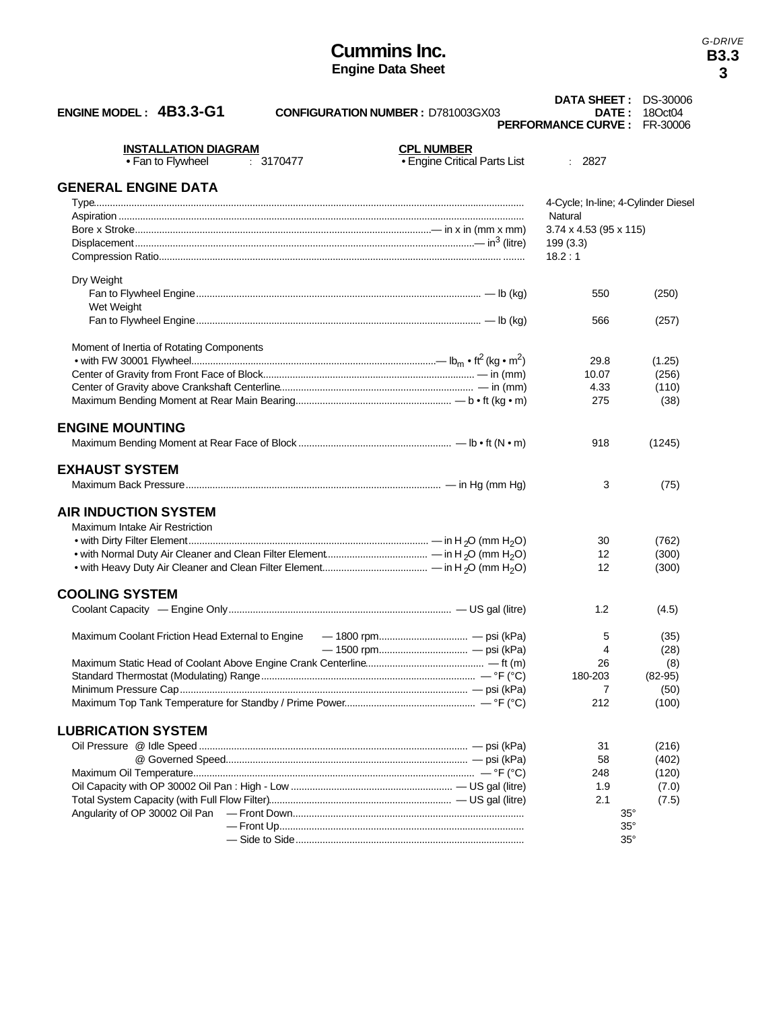### **Cummins Inc. Engine Data Sheet**

*G-DRIVE* **B3.3**

|                                                                    |                              | DATA SHEET: DS-30006                |           |
|--------------------------------------------------------------------|------------------------------|-------------------------------------|-----------|
| ENGINE MODEL: 4B3.3-G1<br><b>CONFIGURATION NUMBER: D781003GX03</b> |                              | <b>DATE :</b>                       | 18Oct04   |
|                                                                    |                              | <b>PERFORMANCE CURVE: FR-30006</b>  |           |
| <b>INSTALLATION DIAGRAM</b>                                        | <b>CPL NUMBER</b>            |                                     |           |
| • Fan to Flywheel<br>: 3170477                                     | • Engine Critical Parts List | : 2827                              |           |
|                                                                    |                              |                                     |           |
| <b>GENERAL ENGINE DATA</b>                                         |                              |                                     |           |
|                                                                    |                              | 4-Cycle; In-line; 4-Cylinder Diesel |           |
|                                                                    |                              | Natural                             |           |
|                                                                    |                              | $3.74 \times 4.53$ (95 x 115)       |           |
|                                                                    |                              | 199(3.3)                            |           |
|                                                                    |                              | 18.2:1                              |           |
|                                                                    |                              |                                     |           |
| Dry Weight                                                         |                              |                                     |           |
|                                                                    |                              | 550                                 | (250)     |
| Wet Weight                                                         |                              |                                     |           |
|                                                                    |                              | 566                                 | (257)     |
|                                                                    |                              |                                     |           |
| Moment of Inertia of Rotating Components                           |                              |                                     |           |
|                                                                    |                              | 29.8                                | (1.25)    |
|                                                                    |                              | 10.07                               | (256)     |
|                                                                    |                              | 4.33                                | (110)     |
|                                                                    |                              | 275                                 | (38)      |
| <b>ENGINE MOUNTING</b>                                             |                              |                                     |           |
|                                                                    |                              |                                     |           |
|                                                                    |                              | 918                                 | (1245)    |
| <b>EXHAUST SYSTEM</b>                                              |                              |                                     |           |
|                                                                    |                              |                                     |           |
|                                                                    |                              | 3                                   | (75)      |
| <b>AIR INDUCTION SYSTEM</b>                                        |                              |                                     |           |
|                                                                    |                              |                                     |           |
| Maximum Intake Air Restriction                                     |                              |                                     |           |
|                                                                    |                              | 30<br>12                            | (762)     |
|                                                                    |                              | 12                                  | (300)     |
|                                                                    |                              |                                     | (300)     |
| <b>COOLING SYSTEM</b>                                              |                              |                                     |           |
|                                                                    |                              | 1.2                                 | (4.5)     |
|                                                                    |                              |                                     |           |
| Maximum Coolant Friction Head External to Engine                   |                              | 5                                   | (35)      |
|                                                                    |                              | 4                                   | (28)      |
|                                                                    |                              | 26                                  | (8)       |
|                                                                    |                              | 180-203                             | $(82-95)$ |
|                                                                    |                              | 7                                   | (50)      |
|                                                                    |                              | 212                                 | (100)     |
|                                                                    |                              |                                     |           |
| <b>LUBRICATION SYSTEM</b>                                          |                              |                                     |           |
|                                                                    |                              | 31                                  | (216)     |
|                                                                    |                              | 58                                  | (402)     |
|                                                                    |                              | 248                                 | (120)     |
|                                                                    |                              | 1.9                                 | (7.0)     |
|                                                                    |                              | 2.1                                 | (7.5)     |
|                                                                    |                              | $35^\circ$                          |           |
|                                                                    |                              | $35^\circ$                          |           |
|                                                                    |                              | $35^\circ$                          |           |